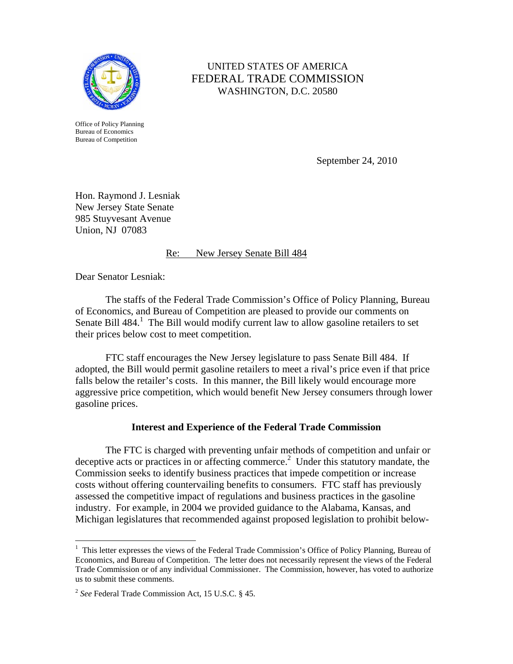

Office of Policy Planning Bureau of Economics Bureau of Competition

## UNITED STATES OF AMERICA FEDERAL TRADE COMMISSION WASHINGTON, D.C. 20580

September 24, 2010

Hon. Raymond J. Lesniak New Jersey State Senate 985 Stuyvesant Avenue Union, NJ 07083

## Re: New Jersey Senate Bill 484

Dear Senator Lesniak:

 $\overline{a}$ 

The staffs of the Federal Trade Commission's Office of Policy Planning, Bureau of Economics, and Bureau of Competition are pleased to provide our comments on Senate Bill 484.<sup>1</sup> The Bill would modify current law to allow gasoline retailers to set their prices below cost to meet competition.

FTC staff encourages the New Jersey legislature to pass Senate Bill 484. If adopted, the Bill would permit gasoline retailers to meet a rival's price even if that price falls below the retailer's costs. In this manner, the Bill likely would encourage more aggressive price competition, which would benefit New Jersey consumers through lower gasoline prices.

## **Interest and Experience of the Federal Trade Commission**

The FTC is charged with preventing unfair methods of competition and unfair or deceptive acts or practices in or affecting commerce.<sup>2</sup> Under this statutory mandate, the Commission seeks to identify business practices that impede competition or increase costs without offering countervailing benefits to consumers. FTC staff has previously assessed the competitive impact of regulations and business practices in the gasoline industry. For example, in 2004 we provided guidance to the Alabama, Kansas, and Michigan legislatures that recommended against proposed legislation to prohibit below-

<sup>&</sup>lt;sup>1</sup> This letter expresses the views of the Federal Trade Commission's Office of Policy Planning, Bureau of Economics, and Bureau of Competition. The letter does not necessarily represent the views of the Federal Trade Commission or of any individual Commissioner. The Commission, however, has voted to authorize us to submit these comments.

<sup>2</sup> *See* Federal Trade Commission Act, 15 U.S.C. § 45.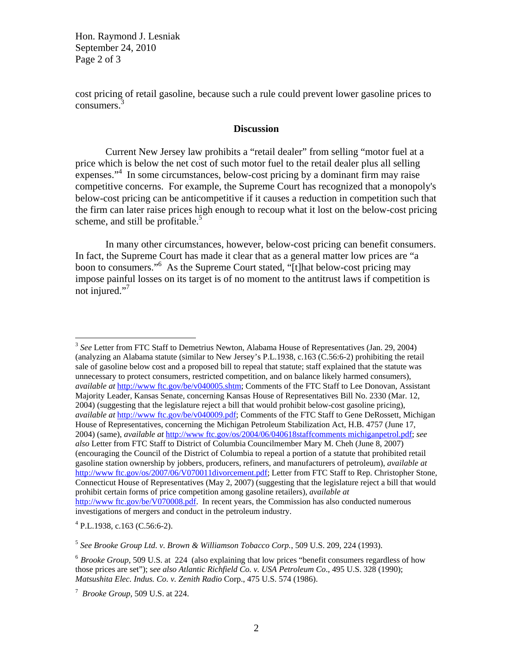Hon. Raymond J. Lesniak September 24, 2010 Page 2 of 3

cost pricing of retail gasoline, because such a rule could prevent lower gasoline prices to  $consumes.$ <sup>3</sup>

## **Discussion**

Current New Jersey law prohibits a "retail dealer" from selling "motor fuel at a price which is below the net cost of such motor fuel to the retail dealer plus all selling expenses."<sup>4</sup> In some circumstances, below-cost pricing by a dominant firm may raise competitive concerns. For example, the Supreme Court has recognized that a monopoly's below-cost pricing can be anticompetitive if it causes a reduction in competition such that the firm can later raise prices high enough to recoup what it lost on the below-cost pricing scheme, and still be profitable. $5$ 

In many other circumstances, however, below-cost pricing can benefit consumers. In fact, the Supreme Court has made it clear that as a general matter low prices are "a boon to consumers."6 As the Supreme Court stated, "[t]hat below-cost pricing may impose painful losses on its target is of no moment to the antitrust laws if competition is not injured."<sup>7</sup>

 $4$  P.L.1938, c.163 (C.56:6-2).

 $\overline{a}$ 

<sup>5</sup> *See Brooke Group Ltd. v. Brown & Williamson Tobacco Corp.*, 509 U.S. 209, 224 (1993).

<sup>3</sup> *See* Letter from FTC Staff to Demetrius Newton, Alabama House of Representatives (Jan. 29, 2004) (analyzing an Alabama statute (similar to New Jersey's P.L.1938, c.163 (C.56:6-2) prohibiting the retail sale of gasoline below cost and a proposed bill to repeal that statute; staff explained that the statute was unnecessary to protect consumers, restricted competition, and on balance likely harmed consumers), *available at http://www.ftc.gov/be/v040005.shtm;* Comments of the FTC Staff to Lee Donovan, Assistant Majority Leader, Kansas Senate, concerning Kansas House of Representatives Bill No. 2330 (Mar. 12, 2004) (suggesting that the legislature reject a bill that would prohibit below-cost gasoline pricing), *available at* http://www ftc.gov/be/v040009.pdf; Comments of the FTC Staff to Gene DeRossett, Michigan House of Representatives, concerning the Michigan Petroleum Stabilization Act, H.B. 4757 (June 17, 2004) (same), *available at* http://www ftc.gov/os/2004/06/040618staffcomments michiganpetrol.pdf; *see also* Letter from FTC Staff to District of Columbia Councilmember Mary M. Cheh (June 8, 2007) (encouraging the Council of the District of Columbia to repeal a portion of a statute that prohibited retail gasoline station ownership by jobbers, producers, refiners, and manufacturers of petroleum), *available at*  http://www.ftc.gov/os/2007/06/V070011divorcement.pdf; Letter from FTC Staff to Rep. Christopher Stone, Connecticut House of Representatives (May 2, 2007) (suggesting that the legislature reject a bill that would prohibit certain forms of price competition among gasoline retailers), *available at*  http://www.ftc.gov/be/V070008.pdf. In recent years, the Commission has also conducted numerous investigations of mergers and conduct in the petroleum industry.

<sup>6</sup> *Brooke Group,* 509 U.S. at 224 (also explaining that low prices "benefit consumers regardless of how those prices are set"); s*ee also Atlantic Richfield Co. v. USA Petroleum Co*., 495 U.S. 328 (1990); *Matsushita Elec. Indus. Co. v. Zenith Radio* Corp., 475 U.S. 574 (1986).

<sup>7</sup> *Brooke Group*, 509 U.S. at 224.